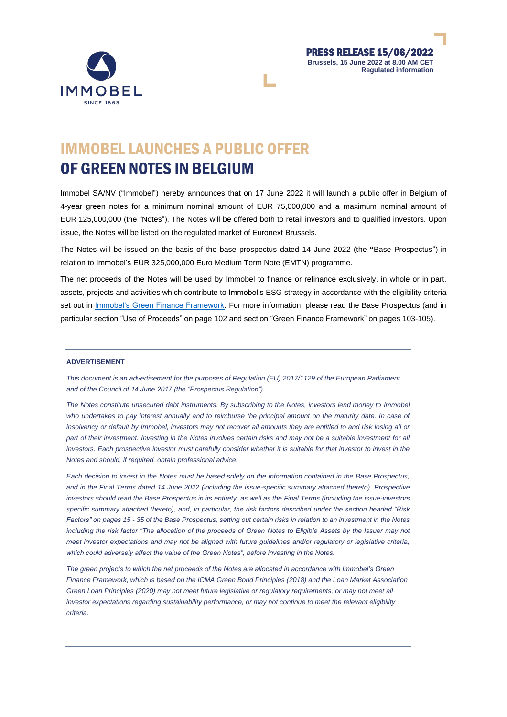



# IMMOBEL LAUNCHES A PUBLIC OFFER OF GREEN NOTES IN BELGIUM

Immobel SA/NV ("Immobel") hereby announces that on 17 June 2022 it will launch a public offer in Belgium of 4-year green notes for a minimum nominal amount of EUR 75,000,000 and a maximum nominal amount of EUR 125,000,000 (the "Notes"). The Notes will be offered both to retail investors and to qualified investors. Upon issue, the Notes will be listed on the regulated market of Euronext Brussels.

The Notes will be issued on the basis of the base prospectus dated 14 June 2022 (the **"**Base Prospectus") in relation to Immobel's EUR 325,000,000 Euro Medium Term Note (EMTN) programme.

The net proceeds of the Notes will be used by Immobel to finance or refinance exclusively, in whole or in part, assets, projects and activities which contribute to Immobel's ESG strategy in accordance with the eligibility criteria set out in [Immobel's Green Finance Framework.](https://www.immobelgroup.com/en/publications/green-finance-framework) For more information, please read the Base Prospectus (and in particular section "Use of Proceeds" on page 102 and section "Green Finance Framework" on pages 103-105).

### **ADVERTISEMENT**

*This document is an advertisement for the purposes of Regulation (EU) 2017/1129 of the European Parliament and of the Council of 14 June 2017 (the "Prospectus Regulation").*

*The Notes constitute unsecured debt instruments. By subscribing to the Notes, investors lend money to Immobel who undertakes to pay interest annually and to reimburse the principal amount on the maturity date. In case of insolvency or default by Immobel, investors may not recover all amounts they are entitled to and risk losing all or part of their investment. Investing in the Notes involves certain risks and may not be a suitable investment for all investors. Each prospective investor must carefully consider whether it is suitable for that investor to invest in the Notes and should, if required, obtain professional advice.*

*Each decision to invest in the Notes must be based solely on the information contained in the Base Prospectus, and in the Final Terms dated 14 June 2022 (including the issue-specific summary attached thereto). Prospective investors should read the Base Prospectus in its entirety, as well as the Final Terms (including the issue-investors specific summary attached thereto), and, in particular, the risk factors described under the section headed "Risk Factors" on pages 15 - 35 of the Base Prospectus, setting out certain risks in relation to an investment in the Notes*  including the risk factor "The allocation of the proceeds of Green Notes to Eligible Assets by the Issuer may not *meet investor expectations and may not be aligned with future guidelines and/or regulatory or legislative criteria, which could adversely affect the value of the Green Notes", before investing in the Notes.*

*The green projects to which the net proceeds of the Notes are allocated in accordance with Immobel's Green Finance Framework, which is based on the ICMA Green Bond Principles (2018) and the Loan Market Association Green Loan Principles (2020) may not meet future legislative or regulatory requirements, or may not meet all investor expectations regarding sustainability performance, or may not continue to meet the relevant eligibility criteria.*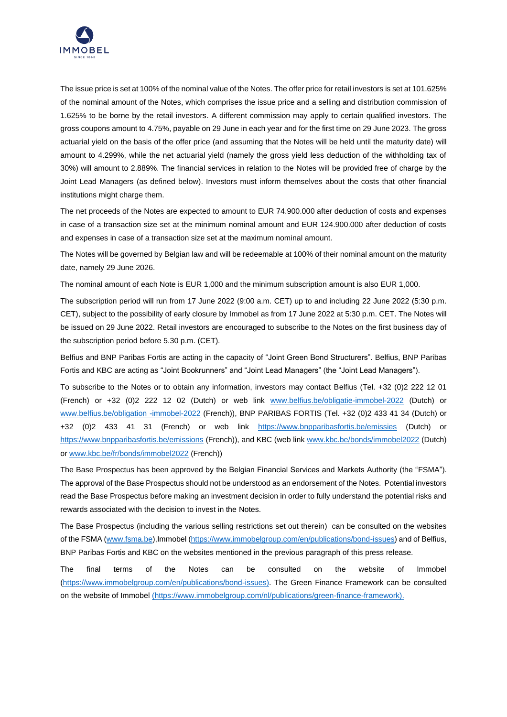

The issue price is set at 100% of the nominal value of the Notes. The offer price for retail investors is set at 101.625% of the nominal amount of the Notes, which comprises the issue price and a selling and distribution commission of 1.625% to be borne by the retail investors. A different commission may apply to certain qualified investors. The gross coupons amount to 4.75%, payable on 29 June in each year and for the first time on 29 June 2023. The gross actuarial yield on the basis of the offer price (and assuming that the Notes will be held until the maturity date) will amount to 4.299%, while the net actuarial yield (namely the gross yield less deduction of the withholding tax of 30%) will amount to 2.889%. The financial services in relation to the Notes will be provided free of charge by the Joint Lead Managers (as defined below). Investors must inform themselves about the costs that other financial institutions might charge them.

The net proceeds of the Notes are expected to amount to EUR 74.900.000 after deduction of costs and expenses in case of a transaction size set at the minimum nominal amount and EUR 124.900.000 after deduction of costs and expenses in case of a transaction size set at the maximum nominal amount.

The Notes will be governed by Belgian law and will be redeemable at 100% of their nominal amount on the maturity date, namely 29 June 2026.

The nominal amount of each Note is EUR 1,000 and the minimum subscription amount is also EUR 1,000.

The subscription period will run from 17 June 2022 (9:00 a.m. CET) up to and including 22 June 2022 (5:30 p.m. CET), subject to the possibility of early closure by Immobel as from 17 June 2022 at 5:30 p.m. CET. The Notes will be issued on 29 June 2022. Retail investors are encouraged to subscribe to the Notes on the first business day of the subscription period before 5.30 p.m. (CET).

Belfius and BNP Paribas Fortis are acting in the capacity of "Joint Green Bond Structurers". Belfius, BNP Paribas Fortis and KBC are acting as "Joint Bookrunners" and "Joint Lead Managers" (the "Joint Lead Managers").

To subscribe to the Notes or to obtain any information, investors may contact Belfius (Tel. +32 (0)2 222 12 01 (French) or +32 (0)2 222 12 02 (Dutch) or web link [www.belfius.be/obligatie-immobel-2022](http://www.belfius.be/obligatie-immobel-2022) (Dutch) or [www.belfius.be/obligation -immobel-2022](http://www.belfius.be/obligation%20-immobel-2022) (French)), BNP PARIBAS FORTIS (Tel. +32 (0)2 433 41 34 (Dutch) or +32 (0)2 433 41 31 (French) or web link <https://www.bnpparibasfortis.be/emissies> (Dutch) or <https://www.bnpparibasfortis.be/emissions> (French)), and KBC (web link [www.kbc.be/bonds/immobel2022](http://www.kbc.be/bonds/immobel2022) (Dutch) or [www.kbc.be/fr/bonds/immobel2022](http://www.kbc.be/fr/bonds/immobel2022) (French))

The Base Prospectus has been approved by the Belgian Financial Services and Markets Authority (the "FSMA"). The approval of the Base Prospectus should not be understood as an endorsement of the Notes. Potential investors read the Base Prospectus before making an investment decision in order to fully understand the potential risks and rewards associated with the decision to invest in the Notes.

The Base Prospectus (including the various selling restrictions set out therein) can be consulted on the websites of the FSMA [\(www.fsma.be\)](http://www.fsma.be/),Immobel [\(https://www.immobelgroup.com/en/publications/bond-issues\)](https://www.immobelgroup.com/en/publications/bond-issues) and of Belfius, BNP Paribas Fortis and KBC on the websites mentioned in the previous paragraph of this press release.

The final terms of the Notes can be consulted on the website of Immobel [\(https://www.immobelgroup.com/en/publications/bond-issues\)](https://www.immobelgroup.com/en/publications/bond-issues). The Green Finance Framework can be consulted on the website of Immobel [\(https://www.immobelgroup.com/nl/publications/green-finance-framework\)](https://www.immobelgroup.com/nl/publications/green-finance-framework).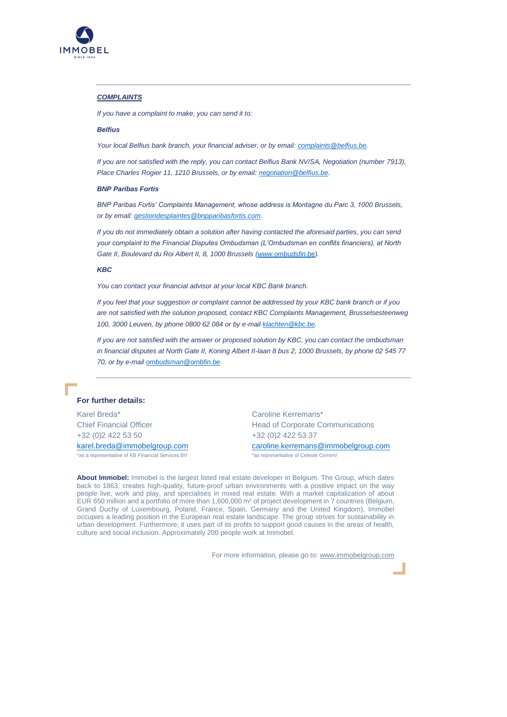

## *COMPLAINTS*

*If you have a complaint to make, you can send it to:*

# *Belfius*

*Your local Belfius bank branch, your financial adviser, or by email[: complaints@belfius.be.](mailto:complaints@belfius.be)*

*If you are not satisfied with the reply, you can contact Belfius Bank NV/SA, Negotiation (number 7913), Place Charles Rogier 11, 1210 Brussels, or by email: [negotiation@belfius.be.](mailto:negotiation@belfius.be)*

#### *BNP Paribas Fortis*

*BNP Paribas Fortis' Complaints Management, whose address is Montagne du Parc 3, 1000 Brussels, or by email[: gestiondesplaintes@bnpparibasfortis.com.](mailto:gestiondesplaintes@bnpparibasfortis.com)* 

*If you do not immediately obtain a solution after having contacted the aforesaid parties, you can send your complaint to the Financial Disputes Ombudsman (L'Ombudsman en conflits financiers), at North*  Gate II, Boulevard du Roi Albert II, 8, 1000 Brussels [\(www.ombudsfin.be\)](http://www.ombudsfin.be/).

#### *KBC*

*You can contact your financial advisor at your local KBC Bank branch.*

*If you feel that your suggestion or complaint cannot be addressed by your KBC bank branch or if you are not satisfied with the solution proposed, contact KBC Complaints Management, Brusselsesteenweg 100, 3000 Leuven, by phone 0800 62 084 or by e-mai[l klachten@kbc.be.](mailto:klachten@kbc.be)*

*If you are not satisfied with the answer or proposed solution by KBC, you can contact the ombudsman in financial disputes at North Gate II, Koning Albert II-laan 8 bus 2, 1000 Brussels, by phone 02 545 77 70, or by e-mai[l ombudsman@ombfin.be](mailto:ombudsman@ombfin.be)*

# **For further details:**

Karel Breda\* Chief Financial Officer +32 (0)2 422 53 50

[karel.breda@immobelgroup.com](mailto:karel.breda@immobelgroup.com) \*as a representative of KB Financial Services BV

Caroline Kerremans\* Head of Corporate Communications +32 (0)2 422 53 37

[caroline.kerremans@immobelgroup.com](mailto:caroline.kerremans@immobelgroup.com) \*as representative of Celeste CommV

**About Immobel:** Immobel is the largest listed real estate developer in Belgium. The Group, which dates back to 1863, creates high-quality, future-proof urban environments with a positive impact on the way people live, work and play, and specialises in mixed real estate. With a market capitalization of about EUR 650 million and a portfolio of more than 1,600,000  $m^2$  of project development in 7 countries (Belgium, Grand Duchy of Luxembourg, Poland, France, Spain, Germany and the United Kingdom), Immobel occupies a leading position in the European real estate landscape. The group strives for sustainability in urban development. Furthermore, it uses part of its profits to support good causes in the areas of health, culture and social inclusion. Approximately 200 people work at Immobel.

For more information, please go to: www.immobelgroup.com